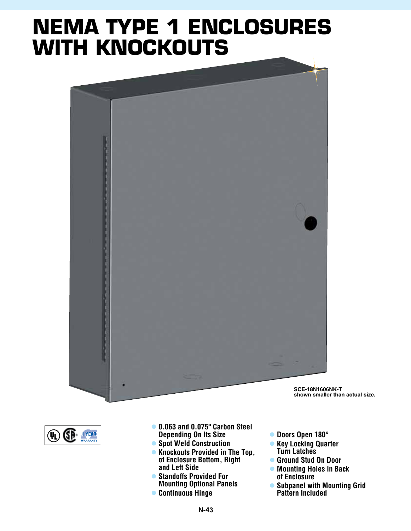## **NEMA TYPE 1 ENCLOSURES with knockouts**





- l **0.063 and 0.075" Carbon Steel Depending On Its Size**
- **Spot Weld Construction**
- **Knockouts Provided in The Top, of Enclosure Bottom, Right and Left Side**
- **Standoffs Provided For Mounting Optional Panels**
- **Continuous Hinge**
- l **Doors Open 180°**
- **e** Key Locking Quarter **Turn Latches**
	- l **Ground Stud On Door**
	- $\bullet$  **Mounting Holes in Back of Enclosure**
	- **Subpanel with Mounting Grid Pattern Included**